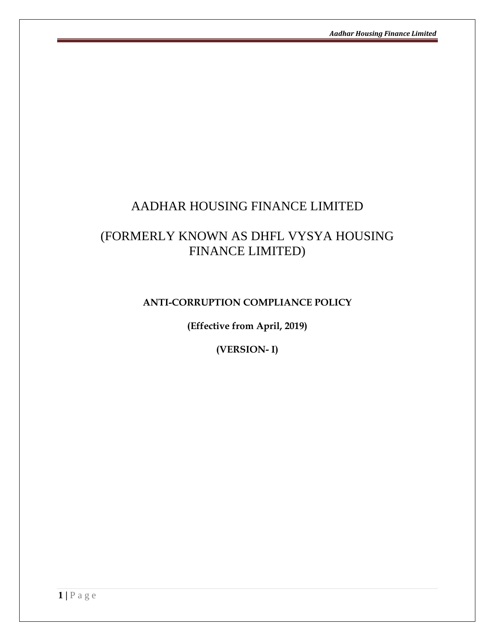# AADHAR HOUSING FINANCE LIMITED

# (FORMERLY KNOWN AS DHFL VYSYA HOUSING FINANCE LIMITED)

## **ANTI-CORRUPTION COMPLIANCE POLICY**

**(Effective from April, 2019)**

**(VERSION- I)**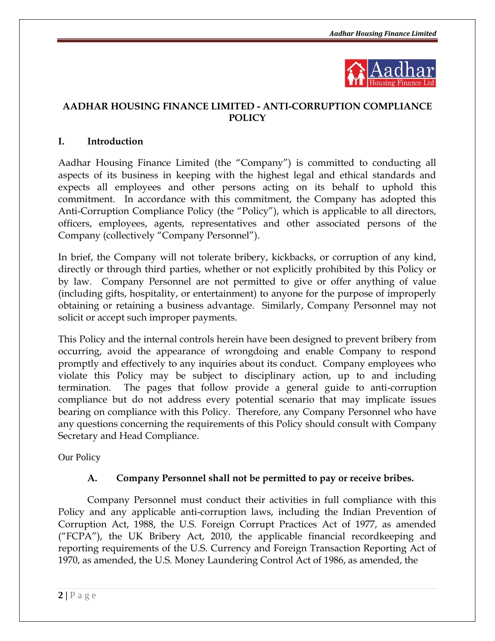

## **AADHAR HOUSING FINANCE LIMITED - ANTI-CORRUPTION COMPLIANCE POLICY**

## **I. Introduction**

Aadhar Housing Finance Limited (the "Company") is committed to conducting all aspects of its business in keeping with the highest legal and ethical standards and expects all employees and other persons acting on its behalf to uphold this commitment. In accordance with this commitment, the Company has adopted this Anti-Corruption Compliance Policy (the "Policy"), which is applicable to all directors, officers, employees, agents, representatives and other associated persons of the Company (collectively "Company Personnel").

In brief, the Company will not tolerate bribery, kickbacks, or corruption of any kind, directly or through third parties, whether or not explicitly prohibited by this Policy or by law. Company Personnel are not permitted to give or offer anything of value (including gifts, hospitality, or entertainment) to anyone for the purpose of improperly obtaining or retaining a business advantage. Similarly, Company Personnel may not solicit or accept such improper payments.

This Policy and the internal controls herein have been designed to prevent bribery from occurring, avoid the appearance of wrongdoing and enable Company to respond promptly and effectively to any inquiries about its conduct. Company employees who violate this Policy may be subject to disciplinary action, up to and including termination. The pages that follow provide a general guide to anti-corruption compliance but do not address every potential scenario that may implicate issues bearing on compliance with this Policy. Therefore, any Company Personnel who have any questions concerning the requirements of this Policy should consult with Company Secretary and Head Compliance.

Our Policy

## **A. Company Personnel shall not be permitted to pay or receive bribes.**

Company Personnel must conduct their activities in full compliance with this Policy and any applicable anti-corruption laws, including the Indian Prevention of Corruption Act, 1988, the U.S. Foreign Corrupt Practices Act of 1977, as amended ("FCPA"), the UK Bribery Act, 2010, the applicable financial recordkeeping and reporting requirements of the U.S. Currency and Foreign Transaction Reporting Act of 1970, as amended, the U.S. Money Laundering Control Act of 1986, as amended, the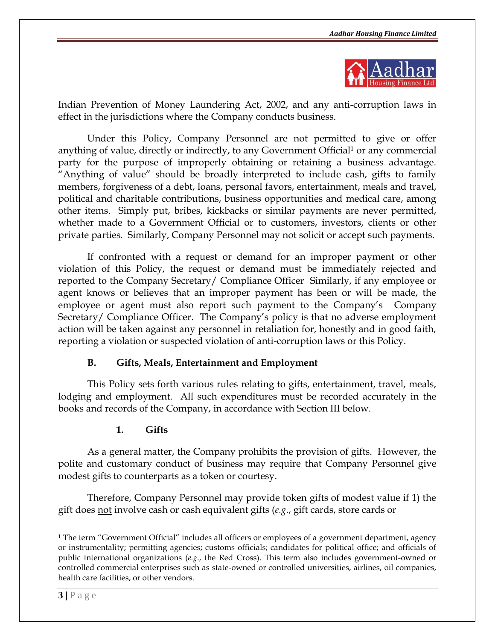

Indian Prevention of Money Laundering Act, 2002, and any anti-corruption laws in effect in the jurisdictions where the Company conducts business.

Under this Policy, Company Personnel are not permitted to give or offer anything of value, directly or indirectly, to any Government Official<sup>1</sup> or any commercial party for the purpose of improperly obtaining or retaining a business advantage. "Anything of value" should be broadly interpreted to include cash, gifts to family members, forgiveness of a debt, loans, personal favors, entertainment, meals and travel, political and charitable contributions, business opportunities and medical care, among other items. Simply put, bribes, kickbacks or similar payments are never permitted, whether made to a Government Official or to customers, investors, clients or other private parties. Similarly, Company Personnel may not solicit or accept such payments.

If confronted with a request or demand for an improper payment or other violation of this Policy, the request or demand must be immediately rejected and reported to the Company Secretary/ Compliance Officer Similarly, if any employee or agent knows or believes that an improper payment has been or will be made, the employee or agent must also report such payment to the Company's Company Secretary/ Compliance Officer. The Company's policy is that no adverse employment action will be taken against any personnel in retaliation for, honestly and in good faith, reporting a violation or suspected violation of anti-corruption laws or this Policy.

#### **B. Gifts, Meals, Entertainment and Employment**

This Policy sets forth various rules relating to gifts, entertainment, travel, meals, lodging and employment. All such expenditures must be recorded accurately in the books and records of the Company, in accordance with Section [III](#page-5-0) below.

#### **1. Gifts**

As a general matter, the Company prohibits the provision of gifts. However, the polite and customary conduct of business may require that Company Personnel give modest gifts to counterparts as a token or courtesy.

Therefore, Company Personnel may provide token gifts of modest value if 1) the gift does not involve cash or cash equivalent gifts (*e.g*., gift cards, store cards or

 $\overline{a}$ 

<sup>1</sup> The term "Government Official" includes all officers or employees of a government department, agency or instrumentality; permitting agencies; customs officials; candidates for political office; and officials of public international organizations (*e.g*., the Red Cross). This term also includes government-owned or controlled commercial enterprises such as state-owned or controlled universities, airlines, oil companies, health care facilities, or other vendors.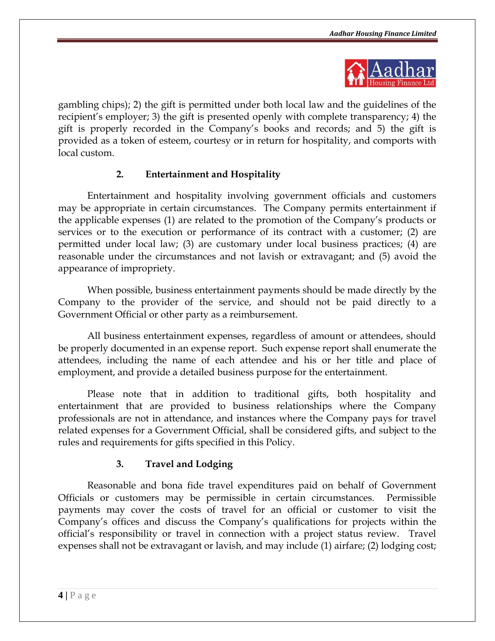

gambling chips); 2) the gift is permitted under both local law and the guidelines of the recipient's employer; 3) the gift is presented openly with complete transparency; 4) the gift is properly recorded in the Company's books and records; and 5) the gift is provided as a token of esteem, courtesy or in return for hospitality, and comports with local custom.

## **2. Entertainment and Hospitality**

Entertainment and hospitality involving government officials and customers may be appropriate in certain circumstances. The Company permits entertainment if the applicable expenses (1) are related to the promotion of the Company's products or services or to the execution or performance of its contract with a customer; (2) are permitted under local law; (3) are customary under local business practices; (4) are reasonable under the circumstances and not lavish or extravagant; and (5) avoid the appearance of impropriety.

When possible, business entertainment payments should be made directly by the Company to the provider of the service, and should not be paid directly to a Government Official or other party as a reimbursement.

All business entertainment expenses, regardless of amount or attendees, should be properly documented in an expense report. Such expense report shall enumerate the attendees, including the name of each attendee and his or her title and place of employment, and provide a detailed business purpose for the entertainment.

Please note that in addition to traditional gifts, both hospitality and entertainment that are provided to business relationships where the Company professionals are not in attendance, and instances where the Company pays for travel related expenses for a Government Official, shall be considered gifts, and subject to the rules and requirements for gifts specified in this Policy.

## **3. Travel and Lodging**

Reasonable and bona fide travel expenditures paid on behalf of Government Officials or customers may be permissible in certain circumstances. Permissible payments may cover the costs of travel for an official or customer to visit the Company's offices and discuss the Company's qualifications for projects within the official's responsibility or travel in connection with a project status review. Travel expenses shall not be extravagant or lavish, and may include (1) airfare; (2) lodging cost;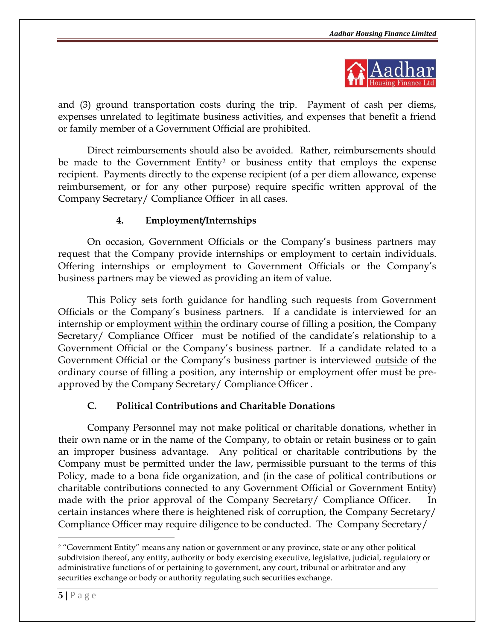

and (3) ground transportation costs during the trip. Payment of cash per diems, expenses unrelated to legitimate business activities, and expenses that benefit a friend or family member of a Government Official are prohibited.

Direct reimbursements should also be avoided. Rather, reimbursements should be made to the Government Entity<sup>2</sup> or business entity that employs the expense recipient. Payments directly to the expense recipient (of a per diem allowance, expense reimbursement, or for any other purpose) require specific written approval of the Company Secretary/ Compliance Officer in all cases.

## **4. Employment/Internships**

On occasion, Government Officials or the Company's business partners may request that the Company provide internships or employment to certain individuals. Offering internships or employment to Government Officials or the Company's business partners may be viewed as providing an item of value.

This Policy sets forth guidance for handling such requests from Government Officials or the Company's business partners. If a candidate is interviewed for an internship or employment within the ordinary course of filling a position, the Company Secretary/ Compliance Officer must be notified of the candidate's relationship to a Government Official or the Company's business partner. If a candidate related to a Government Official or the Company's business partner is interviewed outside of the ordinary course of filling a position, any internship or employment offer must be preapproved by the Company Secretary/ Compliance Officer .

#### **C. Political Contributions and Charitable Donations**

Company Personnel may not make political or charitable donations, whether in their own name or in the name of the Company, to obtain or retain business or to gain an improper business advantage. Any political or charitable contributions by the Company must be permitted under the law, permissible pursuant to the terms of this Policy, made to a bona fide organization, and (in the case of political contributions or charitable contributions connected to any Government Official or Government Entity) made with the prior approval of the Company Secretary/ Compliance Officer. In certain instances where there is heightened risk of corruption, the Company Secretary/ Compliance Officer may require diligence to be conducted. The Company Secretary/

 $\overline{a}$ 

<sup>&</sup>lt;sup>2</sup> "Government Entity" means any nation or government or any province, state or any other political subdivision thereof, any entity, authority or body exercising executive, legislative, judicial, regulatory or administrative functions of or pertaining to government, any court, tribunal or arbitrator and any securities exchange or body or authority regulating such securities exchange.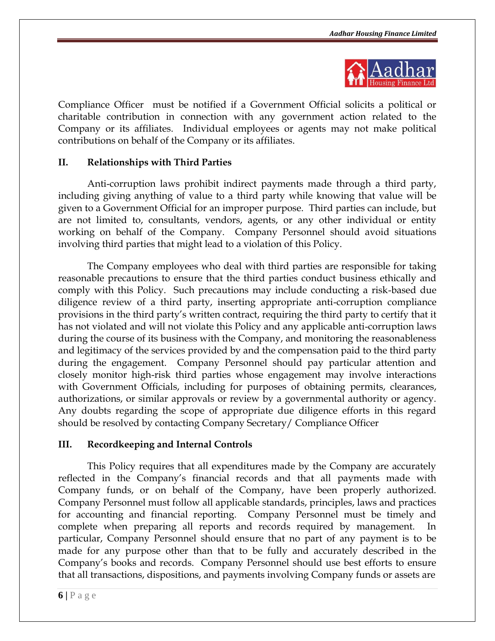

Compliance Officer must be notified if a Government Official solicits a political or charitable contribution in connection with any government action related to the Company or its affiliates. Individual employees or agents may not make political contributions on behalf of the Company or its affiliates.

### **II. Relationships with Third Parties**

Anti-corruption laws prohibit indirect payments made through a third party, including giving anything of value to a third party while knowing that value will be given to a Government Official for an improper purpose. Third parties can include, but are not limited to, consultants, vendors, agents, or any other individual or entity working on behalf of the Company. Company Personnel should avoid situations involving third parties that might lead to a violation of this Policy.

The Company employees who deal with third parties are responsible for taking reasonable precautions to ensure that the third parties conduct business ethically and comply with this Policy. Such precautions may include conducting a risk-based due diligence review of a third party, inserting appropriate anti-corruption compliance provisions in the third party's written contract, requiring the third party to certify that it has not violated and will not violate this Policy and any applicable anti-corruption laws during the course of its business with the Company, and monitoring the reasonableness and legitimacy of the services provided by and the compensation paid to the third party during the engagement. Company Personnel should pay particular attention and closely monitor high-risk third parties whose engagement may involve interactions with Government Officials, including for purposes of obtaining permits, clearances, authorizations, or similar approvals or review by a governmental authority or agency. Any doubts regarding the scope of appropriate due diligence efforts in this regard should be resolved by contacting Company Secretary/ Compliance Officer

#### <span id="page-5-0"></span>**III. Recordkeeping and Internal Controls**

This Policy requires that all expenditures made by the Company are accurately reflected in the Company's financial records and that all payments made with Company funds, or on behalf of the Company, have been properly authorized. Company Personnel must follow all applicable standards, principles, laws and practices for accounting and financial reporting. Company Personnel must be timely and complete when preparing all reports and records required by management. In particular, Company Personnel should ensure that no part of any payment is to be made for any purpose other than that to be fully and accurately described in the Company's books and records. Company Personnel should use best efforts to ensure that all transactions, dispositions, and payments involving Company funds or assets are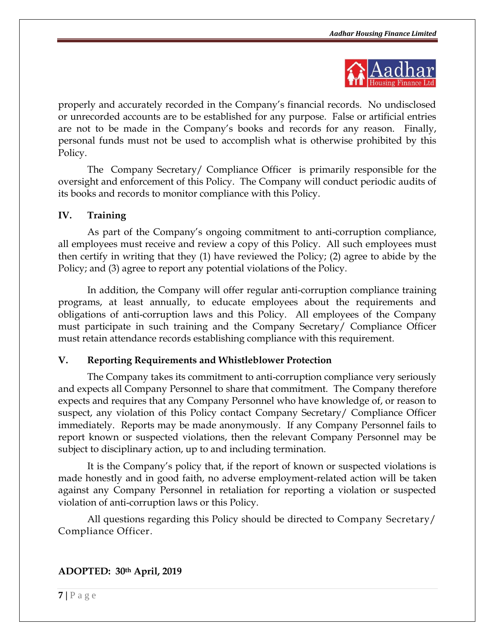

properly and accurately recorded in the Company's financial records. No undisclosed or unrecorded accounts are to be established for any purpose. False or artificial entries are not to be made in the Company's books and records for any reason. Finally, personal funds must not be used to accomplish what is otherwise prohibited by this Policy.

The Company Secretary/ Compliance Officer is primarily responsible for the oversight and enforcement of this Policy. The Company will conduct periodic audits of its books and records to monitor compliance with this Policy.

### **IV. Training**

As part of the Company's ongoing commitment to anti-corruption compliance, all employees must receive and review a copy of this Policy. All such employees must then certify in writing that they (1) have reviewed the Policy; (2) agree to abide by the Policy; and (3) agree to report any potential violations of the Policy.

In addition, the Company will offer regular anti-corruption compliance training programs, at least annually, to educate employees about the requirements and obligations of anti-corruption laws and this Policy. All employees of the Company must participate in such training and the Company Secretary/ Compliance Officer must retain attendance records establishing compliance with this requirement.

#### **V. Reporting Requirements and Whistleblower Protection**

The Company takes its commitment to anti-corruption compliance very seriously and expects all Company Personnel to share that commitment. The Company therefore expects and requires that any Company Personnel who have knowledge of, or reason to suspect, any violation of this Policy contact Company Secretary/ Compliance Officer immediately. Reports may be made anonymously. If any Company Personnel fails to report known or suspected violations, then the relevant Company Personnel may be subject to disciplinary action, up to and including termination.

It is the Company's policy that, if the report of known or suspected violations is made honestly and in good faith, no adverse employment-related action will be taken against any Company Personnel in retaliation for reporting a violation or suspected violation of anti-corruption laws or this Policy.

All questions regarding this Policy should be directed to Company Secretary/ Compliance Officer.

## **ADOPTED: 30th April, 2019**